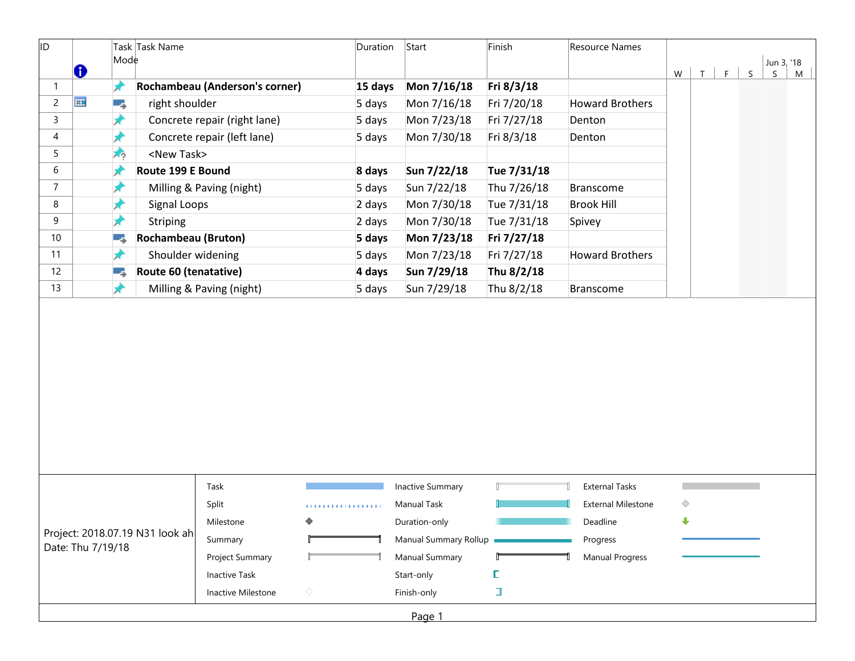| $\mathsf{Mod}\mathsf{e}$<br>Jun 3, '18<br>₩<br>$\mathsf S$<br>W<br>F<br>$\mathsf{T}$<br>S.<br>★<br>$\mathbf{1}$<br>Rochambeau (Anderson's corner)<br>Mon 7/16/18<br>Fri 8/3/18<br>15 days<br>m<br>$\overline{c}$<br>right shoulder<br>5 days<br>Mon 7/16/18<br>Fri 7/20/18<br><b>Howard Brothers</b><br>۳,<br>3<br>Concrete repair (right lane)<br>Mon 7/23/18<br>5 days<br>Fri 7/27/18<br>Denton<br>×<br>4<br>Concrete repair (left lane)<br>Mon 7/30/18<br>Fri 8/3/18<br>5 days<br>Denton<br>5<br><new task=""><br/>スウ<br/>6<br/>Route 199 E Bound<br/>Sun 7/22/18<br/>Tue 7/31/18<br/>8 days<br/>7<br/>5 days<br/>Sun 7/22/18<br/>Thu 7/26/18<br/>Milling &amp; Paving (night)<br/><b>Branscome</b><br/>×<br/>8<br/>Mon 7/30/18<br/>Tue 7/31/18<br/>Signal Loops<br/>2 days<br/><b>Brook Hill</b><br/>9<br/>2 days<br/>Mon 7/30/18<br/>Tue 7/31/18<br/>Striping<br/>Spivey<br/><b>Rochambeau (Bruton)</b><br/>5 days<br/>Mon 7/23/18<br/>Fri 7/27/18<br/>10<br/>٥,<br/>Shoulder widening<br/>5 days<br/>Mon 7/23/18<br/><b>Howard Brothers</b><br/>11<br/>★<br/>Fri 7/27/18<br/>Route 60 (tenatative)<br/>4 days<br/>Sun 7/29/18<br/>Thu 8/2/18<br/>12<br/>Ξ,<br/>Milling &amp; Paving (night)<br/>Sun 7/29/18<br/>Thu 8/2/18<br/>⊭<br/>5 days<br/><b>Branscome</b><br/><b>Inactive Summary</b><br/><b>External Tasks</b><br/>Task<br/><b>External Milestone</b><br/><b>Manual Task</b><br/>◇<br/>Split<br/>.<br/>⊕<br/>Milestone<br/>◇<br/>Duration-only<br/>Deadline<br/>Manual Summary Rollup<br/>Progress<br/>Summary<br/><b>Manual Summary</b><br/><b>Manual Progress</b><br/>Project Summary<br/>Start-only<br/>Inactive Task<br/>L<br/>I<br/><math display="inline">\Diamond</math><br/>Finish-only<br/>Inactive Milestone</new> | ID                                                   |  |  | Task Task Name |  | Duration | Start | Finish | Resource Names |  |  |  |   |
|--------------------------------------------------------------------------------------------------------------------------------------------------------------------------------------------------------------------------------------------------------------------------------------------------------------------------------------------------------------------------------------------------------------------------------------------------------------------------------------------------------------------------------------------------------------------------------------------------------------------------------------------------------------------------------------------------------------------------------------------------------------------------------------------------------------------------------------------------------------------------------------------------------------------------------------------------------------------------------------------------------------------------------------------------------------------------------------------------------------------------------------------------------------------------------------------------------------------------------------------------------------------------------------------------------------------------------------------------------------------------------------------------------------------------------------------------------------------------------------------------------------------------------------------------------------------------------------------------------------------------------------------------------------------------------------------------------------------------------------------|------------------------------------------------------|--|--|----------------|--|----------|-------|--------|----------------|--|--|--|---|
|                                                                                                                                                                                                                                                                                                                                                                                                                                                                                                                                                                                                                                                                                                                                                                                                                                                                                                                                                                                                                                                                                                                                                                                                                                                                                                                                                                                                                                                                                                                                                                                                                                                                                                                                            |                                                      |  |  |                |  |          |       |        |                |  |  |  | M |
|                                                                                                                                                                                                                                                                                                                                                                                                                                                                                                                                                                                                                                                                                                                                                                                                                                                                                                                                                                                                                                                                                                                                                                                                                                                                                                                                                                                                                                                                                                                                                                                                                                                                                                                                            |                                                      |  |  |                |  |          |       |        |                |  |  |  |   |
|                                                                                                                                                                                                                                                                                                                                                                                                                                                                                                                                                                                                                                                                                                                                                                                                                                                                                                                                                                                                                                                                                                                                                                                                                                                                                                                                                                                                                                                                                                                                                                                                                                                                                                                                            |                                                      |  |  |                |  |          |       |        |                |  |  |  |   |
|                                                                                                                                                                                                                                                                                                                                                                                                                                                                                                                                                                                                                                                                                                                                                                                                                                                                                                                                                                                                                                                                                                                                                                                                                                                                                                                                                                                                                                                                                                                                                                                                                                                                                                                                            |                                                      |  |  |                |  |          |       |        |                |  |  |  |   |
|                                                                                                                                                                                                                                                                                                                                                                                                                                                                                                                                                                                                                                                                                                                                                                                                                                                                                                                                                                                                                                                                                                                                                                                                                                                                                                                                                                                                                                                                                                                                                                                                                                                                                                                                            |                                                      |  |  |                |  |          |       |        |                |  |  |  |   |
|                                                                                                                                                                                                                                                                                                                                                                                                                                                                                                                                                                                                                                                                                                                                                                                                                                                                                                                                                                                                                                                                                                                                                                                                                                                                                                                                                                                                                                                                                                                                                                                                                                                                                                                                            |                                                      |  |  |                |  |          |       |        |                |  |  |  |   |
|                                                                                                                                                                                                                                                                                                                                                                                                                                                                                                                                                                                                                                                                                                                                                                                                                                                                                                                                                                                                                                                                                                                                                                                                                                                                                                                                                                                                                                                                                                                                                                                                                                                                                                                                            |                                                      |  |  |                |  |          |       |        |                |  |  |  |   |
|                                                                                                                                                                                                                                                                                                                                                                                                                                                                                                                                                                                                                                                                                                                                                                                                                                                                                                                                                                                                                                                                                                                                                                                                                                                                                                                                                                                                                                                                                                                                                                                                                                                                                                                                            |                                                      |  |  |                |  |          |       |        |                |  |  |  |   |
|                                                                                                                                                                                                                                                                                                                                                                                                                                                                                                                                                                                                                                                                                                                                                                                                                                                                                                                                                                                                                                                                                                                                                                                                                                                                                                                                                                                                                                                                                                                                                                                                                                                                                                                                            |                                                      |  |  |                |  |          |       |        |                |  |  |  |   |
|                                                                                                                                                                                                                                                                                                                                                                                                                                                                                                                                                                                                                                                                                                                                                                                                                                                                                                                                                                                                                                                                                                                                                                                                                                                                                                                                                                                                                                                                                                                                                                                                                                                                                                                                            |                                                      |  |  |                |  |          |       |        |                |  |  |  |   |
|                                                                                                                                                                                                                                                                                                                                                                                                                                                                                                                                                                                                                                                                                                                                                                                                                                                                                                                                                                                                                                                                                                                                                                                                                                                                                                                                                                                                                                                                                                                                                                                                                                                                                                                                            |                                                      |  |  |                |  |          |       |        |                |  |  |  |   |
|                                                                                                                                                                                                                                                                                                                                                                                                                                                                                                                                                                                                                                                                                                                                                                                                                                                                                                                                                                                                                                                                                                                                                                                                                                                                                                                                                                                                                                                                                                                                                                                                                                                                                                                                            |                                                      |  |  |                |  |          |       |        |                |  |  |  |   |
|                                                                                                                                                                                                                                                                                                                                                                                                                                                                                                                                                                                                                                                                                                                                                                                                                                                                                                                                                                                                                                                                                                                                                                                                                                                                                                                                                                                                                                                                                                                                                                                                                                                                                                                                            |                                                      |  |  |                |  |          |       |        |                |  |  |  |   |
|                                                                                                                                                                                                                                                                                                                                                                                                                                                                                                                                                                                                                                                                                                                                                                                                                                                                                                                                                                                                                                                                                                                                                                                                                                                                                                                                                                                                                                                                                                                                                                                                                                                                                                                                            | 13                                                   |  |  |                |  |          |       |        |                |  |  |  |   |
|                                                                                                                                                                                                                                                                                                                                                                                                                                                                                                                                                                                                                                                                                                                                                                                                                                                                                                                                                                                                                                                                                                                                                                                                                                                                                                                                                                                                                                                                                                                                                                                                                                                                                                                                            |                                                      |  |  |                |  |          |       |        |                |  |  |  |   |
|                                                                                                                                                                                                                                                                                                                                                                                                                                                                                                                                                                                                                                                                                                                                                                                                                                                                                                                                                                                                                                                                                                                                                                                                                                                                                                                                                                                                                                                                                                                                                                                                                                                                                                                                            |                                                      |  |  |                |  |          |       |        |                |  |  |  |   |
|                                                                                                                                                                                                                                                                                                                                                                                                                                                                                                                                                                                                                                                                                                                                                                                                                                                                                                                                                                                                                                                                                                                                                                                                                                                                                                                                                                                                                                                                                                                                                                                                                                                                                                                                            | Project: 2018.07.19 N31 look ah<br>Date: Thu 7/19/18 |  |  |                |  |          |       |        |                |  |  |  |   |
|                                                                                                                                                                                                                                                                                                                                                                                                                                                                                                                                                                                                                                                                                                                                                                                                                                                                                                                                                                                                                                                                                                                                                                                                                                                                                                                                                                                                                                                                                                                                                                                                                                                                                                                                            |                                                      |  |  |                |  |          |       |        |                |  |  |  |   |
|                                                                                                                                                                                                                                                                                                                                                                                                                                                                                                                                                                                                                                                                                                                                                                                                                                                                                                                                                                                                                                                                                                                                                                                                                                                                                                                                                                                                                                                                                                                                                                                                                                                                                                                                            |                                                      |  |  |                |  |          |       |        |                |  |  |  |   |
|                                                                                                                                                                                                                                                                                                                                                                                                                                                                                                                                                                                                                                                                                                                                                                                                                                                                                                                                                                                                                                                                                                                                                                                                                                                                                                                                                                                                                                                                                                                                                                                                                                                                                                                                            |                                                      |  |  |                |  |          |       |        |                |  |  |  |   |
|                                                                                                                                                                                                                                                                                                                                                                                                                                                                                                                                                                                                                                                                                                                                                                                                                                                                                                                                                                                                                                                                                                                                                                                                                                                                                                                                                                                                                                                                                                                                                                                                                                                                                                                                            |                                                      |  |  |                |  |          |       |        |                |  |  |  |   |
|                                                                                                                                                                                                                                                                                                                                                                                                                                                                                                                                                                                                                                                                                                                                                                                                                                                                                                                                                                                                                                                                                                                                                                                                                                                                                                                                                                                                                                                                                                                                                                                                                                                                                                                                            |                                                      |  |  |                |  |          |       |        |                |  |  |  |   |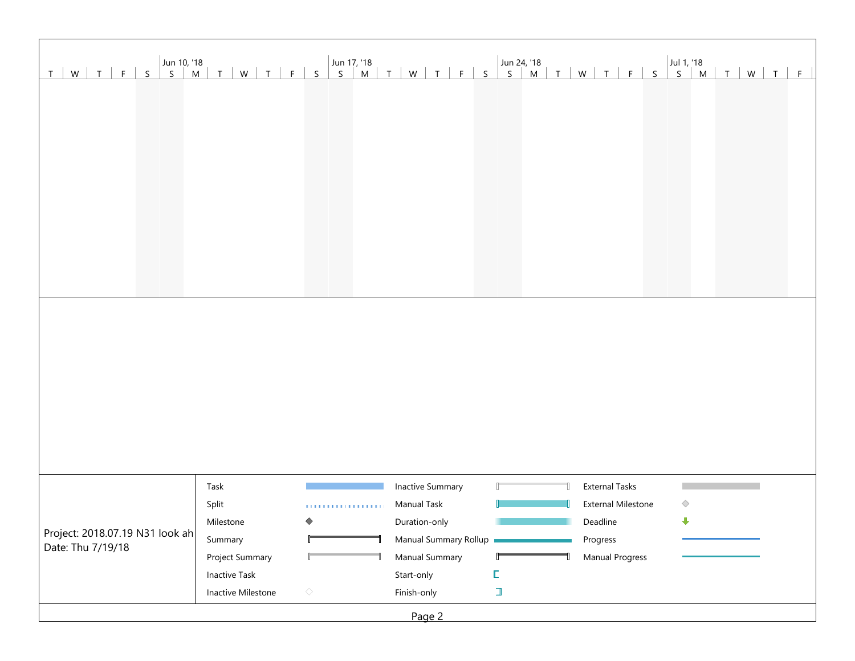| T   W   T   F   S                                    |                      |                        |                         |   |                           |   |  |
|------------------------------------------------------|----------------------|------------------------|-------------------------|---|---------------------------|---|--|
|                                                      |                      |                        |                         |   |                           |   |  |
|                                                      |                      |                        |                         |   |                           |   |  |
|                                                      |                      |                        |                         |   |                           |   |  |
|                                                      |                      |                        |                         |   |                           |   |  |
|                                                      |                      |                        |                         |   |                           |   |  |
|                                                      |                      |                        |                         |   |                           |   |  |
|                                                      |                      |                        |                         |   |                           |   |  |
|                                                      |                      |                        |                         |   |                           |   |  |
|                                                      |                      |                        |                         |   |                           |   |  |
|                                                      |                      |                        |                         |   |                           |   |  |
|                                                      |                      |                        |                         |   |                           |   |  |
|                                                      |                      |                        |                         |   |                           |   |  |
|                                                      |                      |                        |                         |   |                           |   |  |
|                                                      |                      |                        |                         |   |                           |   |  |
|                                                      |                      |                        |                         |   |                           |   |  |
|                                                      |                      |                        |                         |   |                           |   |  |
|                                                      |                      |                        |                         |   |                           |   |  |
|                                                      |                      |                        |                         |   |                           |   |  |
|                                                      |                      |                        |                         |   |                           |   |  |
|                                                      |                      |                        |                         |   |                           |   |  |
|                                                      |                      |                        |                         |   |                           |   |  |
|                                                      | Task                 |                        | <b>Inactive Summary</b> |   | <b>External Tasks</b>     |   |  |
|                                                      | Split                | <b>TELEVISION</b> 1979 | Manual Task             |   | <b>External Milestone</b> | ◇ |  |
|                                                      | Milestone            | ◇                      | Duration-only           |   | Deadline                  | ⊕ |  |
| Project: 2018.07.19 N31 look ah<br>Date: Thu 7/19/18 | Summary              |                        | Manual Summary Rollup   |   | Progress                  |   |  |
|                                                      | Project Summary      |                        | Manual Summary          |   | Manual Progress           |   |  |
|                                                      | <b>Inactive Task</b> |                        | Start-only              | L |                           |   |  |
|                                                      | Inactive Milestone   | $\diamondsuit$         | Finish-only             | ı |                           |   |  |
|                                                      |                      |                        | Page 2                  |   |                           |   |  |